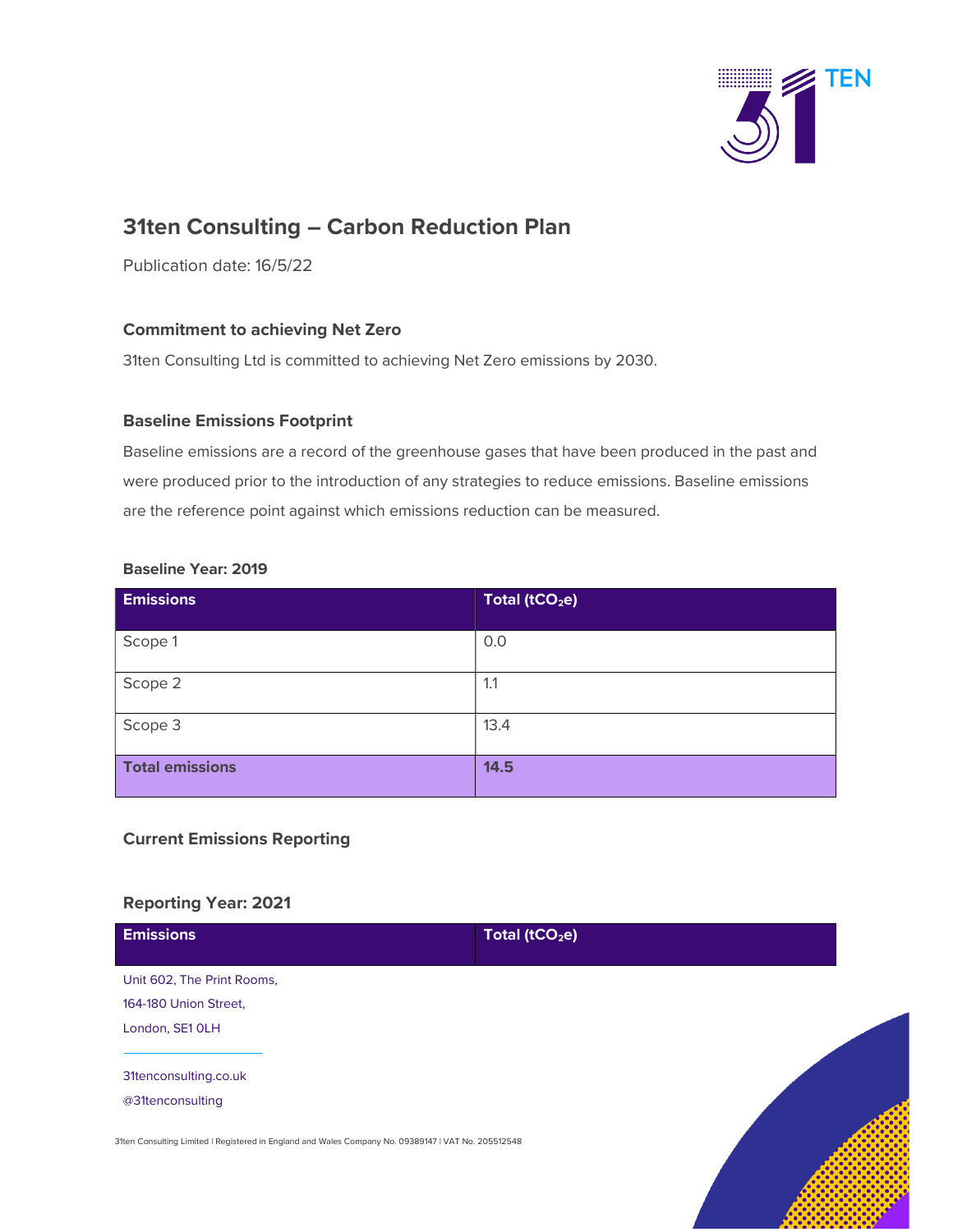

# 31ten Consulting – Carbon Reduction Plan

Publication date: 16/5/22

## Commitment to achieving Net Zero

31ten Consulting Ltd is committed to achieving Net Zero emissions by 2030.

#### Baseline Emissions Footprint

Baseline emissions are a record of the greenhouse gases that have been produced in the past and were produced prior to the introduction of any strategies to reduce emissions. Baseline emissions are the reference point against which emissions reduction can be measured.

### Baseline Year: 2019

| <b>Emissions</b>       | Total (tCO <sub>2</sub> e) |
|------------------------|----------------------------|
| Scope 1                | 0.0                        |
| Scope 2                | 1.1                        |
| Scope 3                | 13.4                       |
| <b>Total emissions</b> | 14.5                       |

## Current Emissions Reporting

## Reporting Year: 2021

| <b>Emissions</b>                                                                                    | Total (tCO <sub>2</sub> e) |  |
|-----------------------------------------------------------------------------------------------------|----------------------------|--|
| Unit 602, The Print Rooms,                                                                          |                            |  |
| 164-180 Union Street,                                                                               |                            |  |
| London, SE1 OLH                                                                                     |                            |  |
|                                                                                                     |                            |  |
| 31tenconsulting.co.uk                                                                               |                            |  |
| @31tenconsulting                                                                                    |                            |  |
| 31ten Consulting Limited   Registered in England and Wales Company No. 09389147   VAT No. 205512548 |                            |  |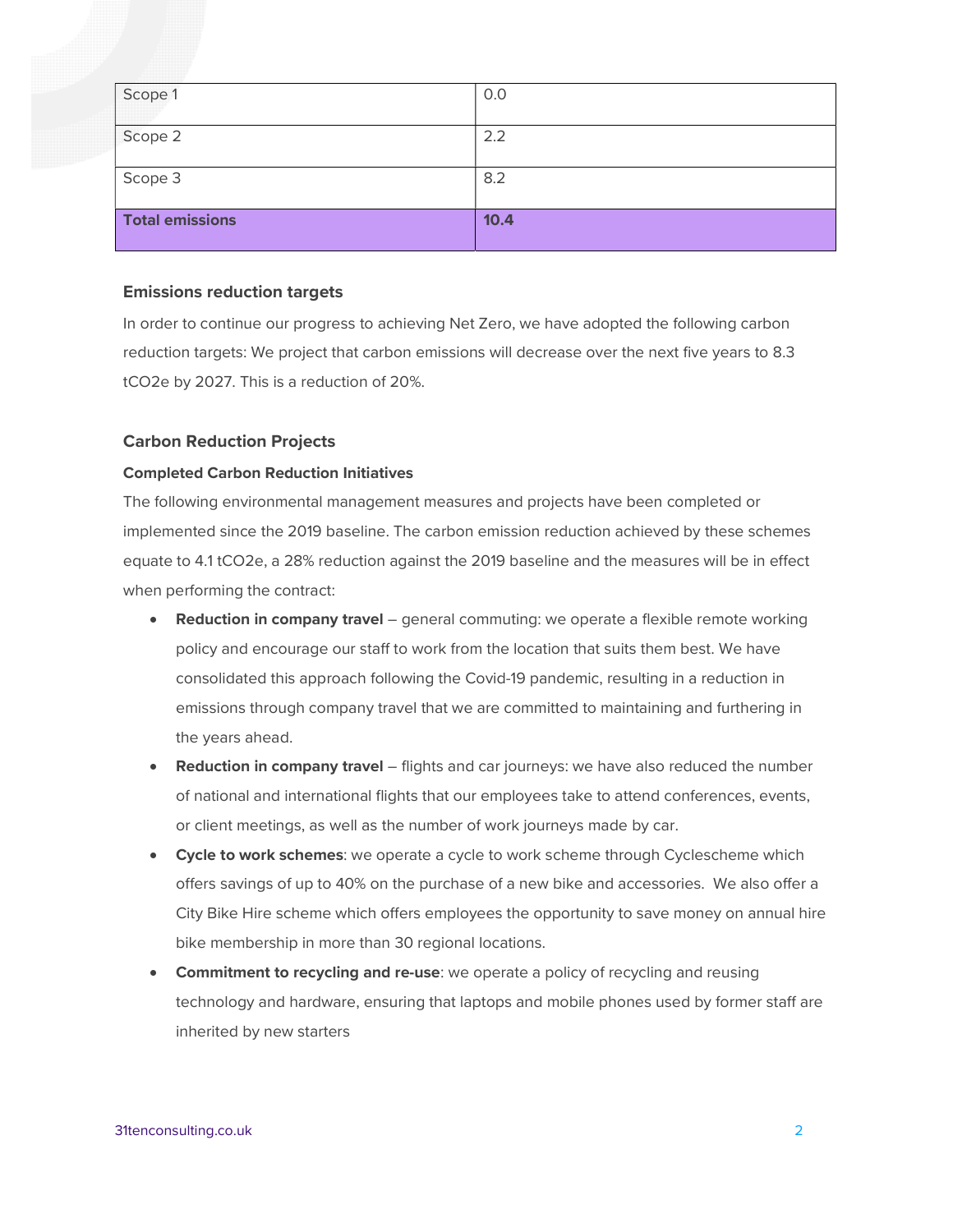| Scope 1                | 0.0  |
|------------------------|------|
| Scope 2                | 2.2  |
| Scope 3                | 8.2  |
| <b>Total emissions</b> | 10.4 |

#### Emissions reduction targets

In order to continue our progress to achieving Net Zero, we have adopted the following carbon reduction targets: We project that carbon emissions will decrease over the next five years to 8.3 tCO2e by 2027. This is a reduction of 20%.

#### Carbon Reduction Projects

#### Completed Carbon Reduction Initiatives

The following environmental management measures and projects have been completed or implemented since the 2019 baseline. The carbon emission reduction achieved by these schemes equate to 4.1 tCO2e, a 28% reduction against the 2019 baseline and the measures will be in effect when performing the contract:

- Reduction in company travel general commuting: we operate a flexible remote working policy and encourage our staff to work from the location that suits them best. We have consolidated this approach following the Covid-19 pandemic, resulting in a reduction in emissions through company travel that we are committed to maintaining and furthering in the years ahead.
- **Reduction in company travel** flights and car journeys: we have also reduced the number of national and international flights that our employees take to attend conferences, events, or client meetings, as well as the number of work journeys made by car.
- Cycle to work schemes: we operate a cycle to work scheme through Cyclescheme which offers savings of up to 40% on the purchase of a new bike and accessories. We also offer a City Bike Hire scheme which offers employees the opportunity to save money on annual hire bike membership in more than 30 regional locations.
- Commitment to recycling and re-use: we operate a policy of recycling and reusing technology and hardware, ensuring that laptops and mobile phones used by former staff are inherited by new starters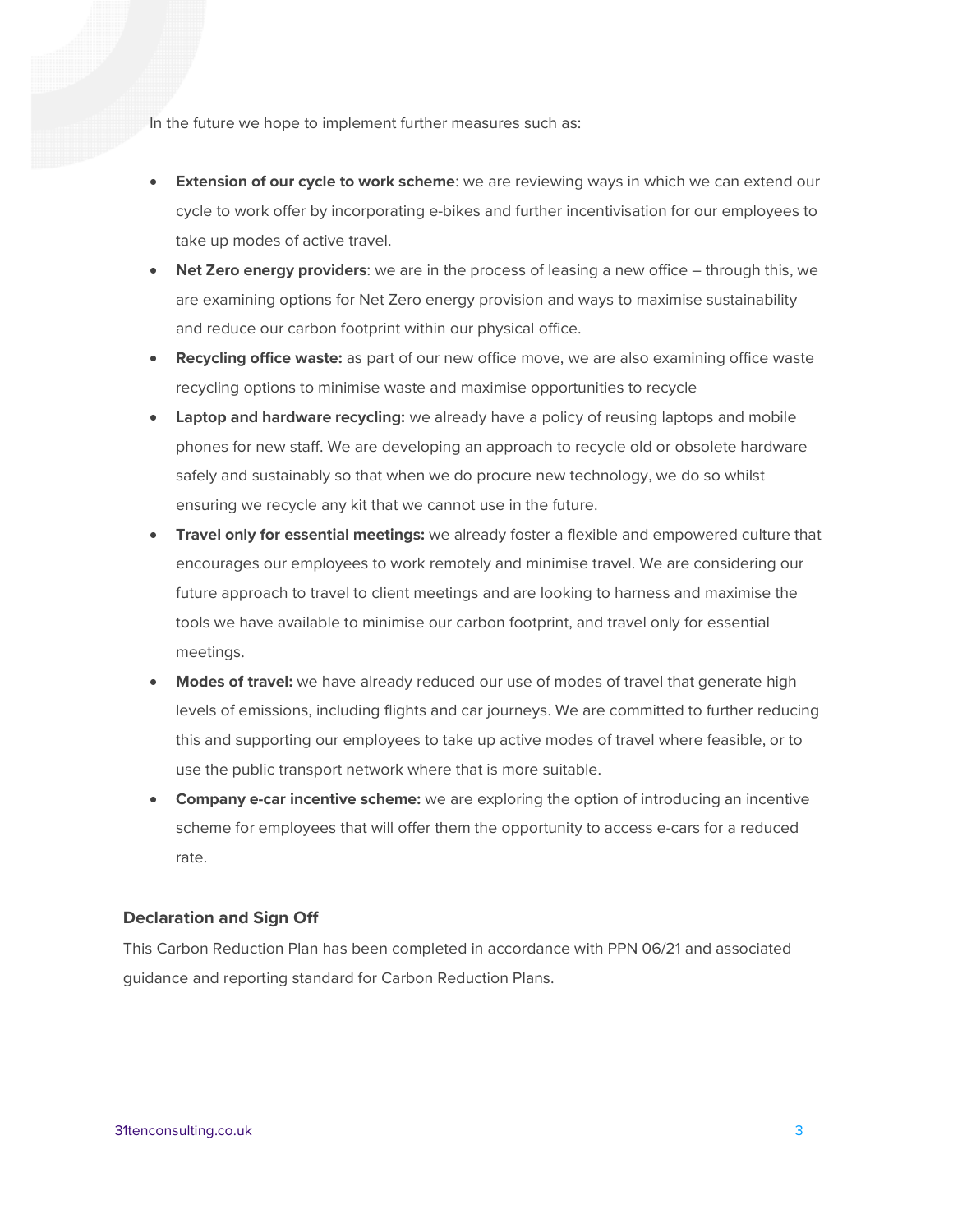In the future we hope to implement further measures such as:

- **Extension of our cycle to work scheme**: we are reviewing ways in which we can extend our cycle to work offer by incorporating e-bikes and further incentivisation for our employees to take up modes of active travel.
- Net Zero energy providers: we are in the process of leasing a new office through this, we are examining options for Net Zero energy provision and ways to maximise sustainability and reduce our carbon footprint within our physical office.
- Recycling office waste: as part of our new office move, we are also examining office waste recycling options to minimise waste and maximise opportunities to recycle
- **Laptop and hardware recycling:** we already have a policy of reusing laptops and mobile phones for new staff. We are developing an approach to recycle old or obsolete hardware safely and sustainably so that when we do procure new technology, we do so whilst ensuring we recycle any kit that we cannot use in the future.
- Travel only for essential meetings: we already foster a flexible and empowered culture that encourages our employees to work remotely and minimise travel. We are considering our future approach to travel to client meetings and are looking to harness and maximise the tools we have available to minimise our carbon footprint, and travel only for essential meetings.
- Modes of travel: we have already reduced our use of modes of travel that generate high levels of emissions, including flights and car journeys. We are committed to further reducing this and supporting our employees to take up active modes of travel where feasible, or to use the public transport network where that is more suitable.
- Company e-car incentive scheme: we are exploring the option of introducing an incentive scheme for employees that will offer them the opportunity to access e-cars for a reduced rate.

#### Declaration and Sign Off

This Carbon Reduction Plan has been completed in accordance with PPN 06/21 and associated guidance and reporting standard for Carbon Reduction Plans.